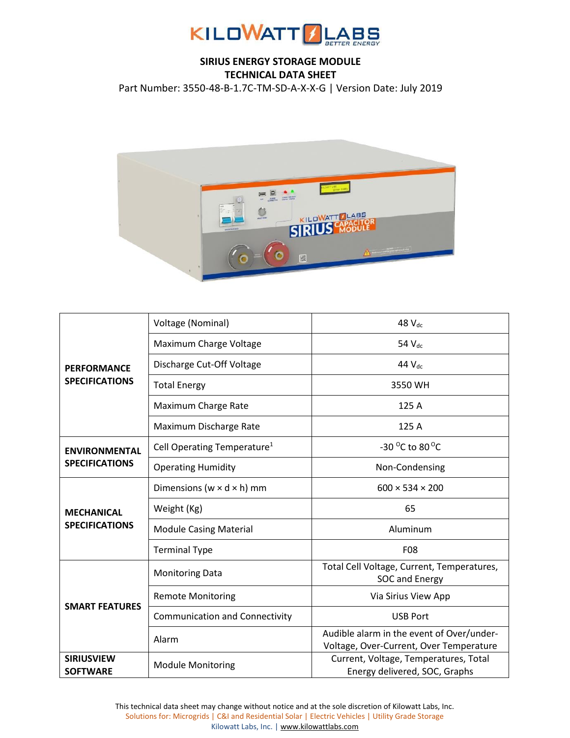

## **SIRIUS ENERGY STORAGE MODULE TECHNICAL DATA SHEET**

Part Number: 3550-48-B-1.7C-TM-SD-A-X-X-G | Version Date: July 2019



| <b>PERFORMANCE</b><br><b>SPECIFICATIONS</b>   | Voltage (Nominal)                       | 48 V <sub>dc</sub>                                                                   |
|-----------------------------------------------|-----------------------------------------|--------------------------------------------------------------------------------------|
|                                               | Maximum Charge Voltage                  | 54 V <sub>dc</sub>                                                                   |
|                                               | Discharge Cut-Off Voltage               | 44 $V_{dc}$                                                                          |
|                                               | <b>Total Energy</b>                     | 3550 WH                                                                              |
|                                               | Maximum Charge Rate                     | 125 A                                                                                |
|                                               | Maximum Discharge Rate                  | 125 A                                                                                |
| <b>ENVIRONMENTAL</b><br><b>SPECIFICATIONS</b> | Cell Operating Temperature <sup>1</sup> | -30 $^{\circ}$ C to 80 $^{\circ}$ C                                                  |
|                                               | <b>Operating Humidity</b>               | Non-Condensing                                                                       |
| <b>MECHANICAL</b><br><b>SPECIFICATIONS</b>    | Dimensions ( $w \times d \times h$ ) mm | $600 \times 534 \times 200$                                                          |
|                                               | Weight (Kg)                             | 65                                                                                   |
|                                               | <b>Module Casing Material</b>           | Aluminum                                                                             |
|                                               | <b>Terminal Type</b>                    | <b>F08</b>                                                                           |
| <b>SMART FEATURES</b>                         | <b>Monitoring Data</b>                  | Total Cell Voltage, Current, Temperatures,<br>SOC and Energy                         |
|                                               | <b>Remote Monitoring</b>                | Via Sirius View App                                                                  |
|                                               | <b>Communication and Connectivity</b>   | <b>USB Port</b>                                                                      |
|                                               | Alarm                                   | Audible alarm in the event of Over/under-<br>Voltage, Over-Current, Over Temperature |
| <b>SIRIUSVIEW</b><br><b>SOFTWARE</b>          | <b>Module Monitoring</b>                | Current, Voltage, Temperatures, Total<br>Energy delivered, SOC, Graphs               |

This technical data sheet may change without notice and at the sole discretion of Kilowatt Labs, Inc. Solutions for: Microgrids | C&I and Residential Solar | Electric Vehicles | Utility Grade Storage Kilowatt Labs, Inc. [| www.kilowattlabs.com](http://www.kilowattlabs.com/)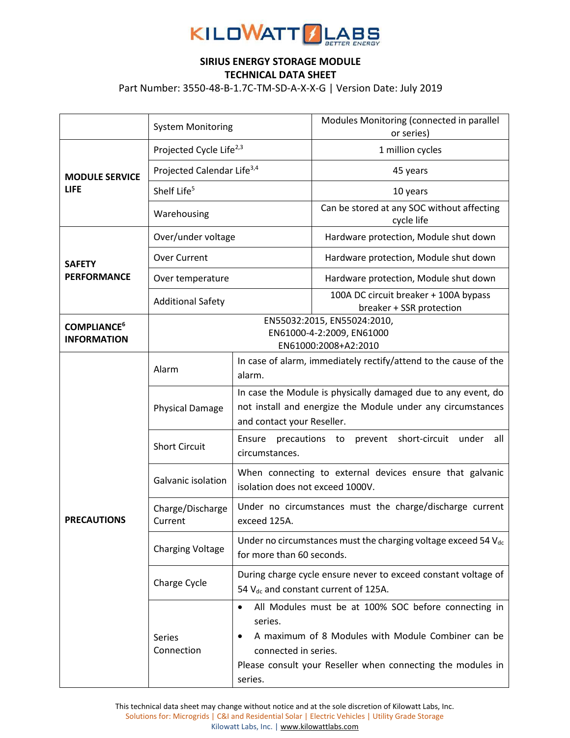

## **SIRIUS ENERGY STORAGE MODULE TECHNICAL DATA SHEET**

Part Number: 3550-48-B-1.7C-TM-SD-A-X-X-G | Version Date: July 2019

|                                                     | <b>System Monitoring</b>                                                         |                                                                                                                                                            | Modules Monitoring (connected in parallel<br>or series)                                                                                                                   |
|-----------------------------------------------------|----------------------------------------------------------------------------------|------------------------------------------------------------------------------------------------------------------------------------------------------------|---------------------------------------------------------------------------------------------------------------------------------------------------------------------------|
| <b>MODULE SERVICE</b><br><b>LIFE</b>                | Projected Cycle Life <sup>2,3</sup>                                              |                                                                                                                                                            | 1 million cycles                                                                                                                                                          |
|                                                     | Projected Calendar Life <sup>3,4</sup>                                           |                                                                                                                                                            | 45 years                                                                                                                                                                  |
|                                                     | Shelf Life <sup>5</sup>                                                          |                                                                                                                                                            | 10 years                                                                                                                                                                  |
|                                                     | Warehousing                                                                      |                                                                                                                                                            | Can be stored at any SOC without affecting<br>cycle life                                                                                                                  |
| <b>SAFETY</b><br><b>PERFORMANCE</b>                 | Over/under voltage                                                               |                                                                                                                                                            | Hardware protection, Module shut down                                                                                                                                     |
|                                                     | <b>Over Current</b>                                                              |                                                                                                                                                            | Hardware protection, Module shut down                                                                                                                                     |
|                                                     | Over temperature                                                                 |                                                                                                                                                            | Hardware protection, Module shut down                                                                                                                                     |
|                                                     | <b>Additional Safety</b>                                                         |                                                                                                                                                            | 100A DC circuit breaker + 100A bypass<br>breaker + SSR protection                                                                                                         |
| <b>COMPLIANCE<sup>6</sup></b><br><b>INFORMATION</b> | EN55032:2015, EN55024:2010,<br>EN61000-4-2:2009, EN61000<br>EN61000:2008+A2:2010 |                                                                                                                                                            |                                                                                                                                                                           |
| <b>PRECAUTIONS</b>                                  | Alarm                                                                            | In case of alarm, immediately rectify/attend to the cause of the<br>alarm.                                                                                 |                                                                                                                                                                           |
|                                                     | <b>Physical Damage</b>                                                           | In case the Module is physically damaged due to any event, do<br>not install and energize the Module under any circumstances<br>and contact your Reseller. |                                                                                                                                                                           |
|                                                     | <b>Short Circuit</b>                                                             | short-circuit<br>Ensure<br>precautions to<br>under<br>all<br>prevent<br>circumstances.                                                                     |                                                                                                                                                                           |
|                                                     | Galvanic isolation                                                               | When connecting to external devices ensure that galvanic<br>isolation does not exceed 1000V.                                                               |                                                                                                                                                                           |
|                                                     | Charge/Discharge<br>Current                                                      | Under no circumstances must the charge/discharge current<br>exceed 125A.                                                                                   |                                                                                                                                                                           |
|                                                     | <b>Charging Voltage</b>                                                          | Under no circumstances must the charging voltage exceed 54 V <sub>dc</sub><br>for more than 60 seconds.                                                    |                                                                                                                                                                           |
|                                                     | Charge Cycle                                                                     | During charge cycle ensure never to exceed constant voltage of<br>54 V <sub>dc</sub> and constant current of 125A.                                         |                                                                                                                                                                           |
|                                                     | Series<br>Connection                                                             | $\bullet$<br>series.<br>connected in series.<br>series.                                                                                                    | All Modules must be at 100% SOC before connecting in<br>A maximum of 8 Modules with Module Combiner can be<br>Please consult your Reseller when connecting the modules in |